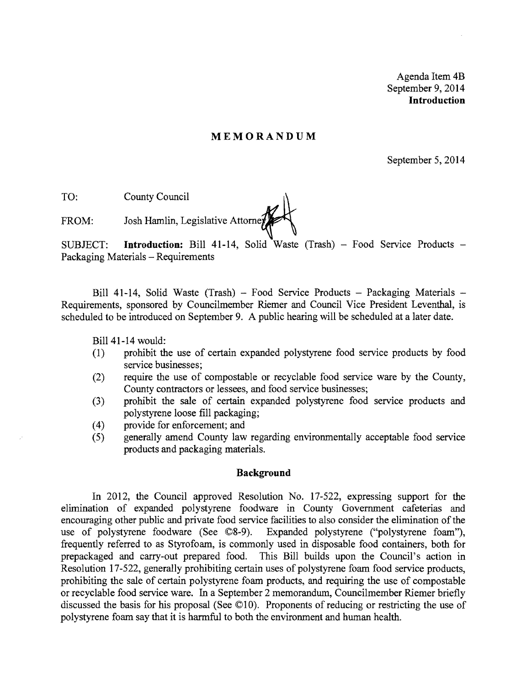Agenda Item 4B September 9, 2014 **Introduction** 

## **MEMORANDUM**

September 5, 2014

TO: County Council

FROM: Josh Hamlin, Legislative Attorne

SUBJECT: **Introduction:** Bill 41-14, Solid Waste (Trash) – Food Service Products – Packaging Materials - Requirements

Bill 41-14, Solid Waste (Trash) - Food Service Products - Packaging Materials -Requirements, sponsored by Councilmember Riemer and Council Vice President Leventhal, is scheduled to be introduced on September 9. A public hearing will be scheduled at a later date.

Bill 41-14 would:

- (1) prohibit the use of certain expanded polystyrene food service products by food service businesses;
- (2) require the use of compostable or recyclable food service ware by the County, County contractors or lessees, and food service businesses;
- (3) prohibit the sale of certain expanded polystyrene food service products and polystyrene loose fill packaging;
- (4) provide for enforcement; and
- (5) generally amend County law regarding environmentally acceptable food service products and packaging materials.

## **Background**

In 2012, the Council approved Resolution No. 17-522, expressing support for the elimination of expanded polystyrene foodware in County Government cafeterias and encouraging other public and private food service facilities to also consider the elimination of the use of polystyrene foodware (See ©8-9). Expanded polystyrene ("polystyrene foam"), frequently referred to as Styrofoam, is commonly used in disposable food containers, both for prepackaged and carry-out prepared food. This Bill builds upon the Council's action in Resolution 17-522, generally prohibiting certain uses of polystyrene foam food service products, prohibiting the sale of certain polystyrene foam products, and requiring the use of compostable or recyclable food service ware. In a September 2 memorandum, Councilmember Riemer briefly discussed the basis for his proposal (See ©10). Proponents of reducing or restricting the use of polystyrene foam say that it is harmful to both the environment and human health.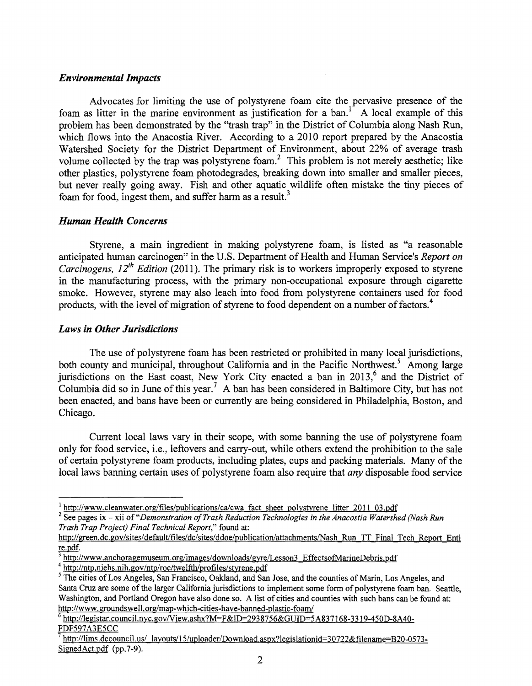## *Environmental Impacts*

Advocates for limiting the use of polystyrene foam cite the pervasive presence of the foam as litter in the marine environment as justification for a ban.<sup>1</sup> A local example of this problem has been demonstrated by the ''trash trap" in the District of Columbia along Nash Run, which flows into the Anacostia River. According to a 2010 report prepared by the Anacostia Watershed Society for the District Department of Environment, about 22% of average trash volume collected by the trap was polystyrene foam? This problem is not merely aesthetic; like other plastics, polystyrene foam photodegrades, breaking down into smaller and smaller pieces, but never really going away. Fish and other aquatic wildlife often mistake the tiny pieces of foam for food, ingest them, and suffer harm as a result.<sup>3</sup>

## *Human Health Concerns*

Styrene, a main ingredient in making polystyrene foam, is listed as "a reasonable anticipated human carcinogen" in the U.S. Department of Health and Human Service's *Report on Carcinogens, 12<sup>th</sup> Edition (2011).* The primary risk is to workers improperly exposed to styrene in the manufacturing process, with the primary non-occupational exposure through cigarette smoke. However, styrene may also leach into food from polystyrene containers used for food products, with the level of migration of styrene to food dependent on a number of factors.<sup>4</sup>

## *Laws in Other Jurisdictions*

The use of polystyrene foam has been restricted or prohibited in many local jurisdictions, both county and municipal, throughout California and in the Pacific Northwest.<sup>5</sup> Among large jurisdictions on the East coast, New York City enacted a ban in 2013,<sup>6</sup> and the District of Columbia did so in June of this year.<sup>7</sup> A ban has been considered in Baltimore City, but has not been enacted, and bans have been or currently are being considered in Philadelphia, Boston, and Chicago.

Current local laws vary in their scope, with some banning the use of polystyrene foam only for food service, i.e., leftovers and carry-out, while others extend the prohibition to the sale of certain polystyrene foam products, including plates, cups and packing materials. Many of the local laws banning certain uses of polystyrene foam also require that *any* disposable food service

<sup>4</sup> http://ntp.niehs.nih.gov/ntp/roc/twelfth/profiles/styrene.pdf

 $\frac{1 \text{ http://www.cleanwater.org/files/publications/cal/cwa fact sheet polystyrene litter 2011 03.pdf}}{$ 

<sup>&</sup>lt;sup>2</sup> See pages ix - xii of "Demonstration of Trash Reduction Technologies in the Anacostia Watershed (Nash Run *Trash Trap Project) Final Technical Report,"* found at:

http://green.dc.gov/sites/default/files/dc/sites/ddoe/publication/attachments/Nash Run TT Final Tech Report Enti re.pdf.

http://www.anchoragemuseum.org/images/downloads/gyre/Lesson3 EffectsofMarineDebris.pdf

<sup>&</sup>lt;sup>5</sup> The cities of Los Angeles, San Francisco, Oakland, and San Jose, and the counties of Marin, Los Angeles, and Santa Cruz are some of the larger California jurisdictions to implement some form of polystyrene foam ban. Seattle, Washington, and Portland Oregon have also done so. A list of cities and counties with such bans can be found at: http://www.groundswell.org/map-which-cities-have-banned-plastic-foam/

http://legistar.council.nyc.gov/View.ashx?M=F&ID=2938756&GUID=5A837168-3319-450D-8A40-FDF597A3E5CC

http://lims.dccouncil.us/ layouts/15/uploader/Download.aspx?legislationid=30722&filename=B20-0573-SignedAct.pdf (pp.7-9).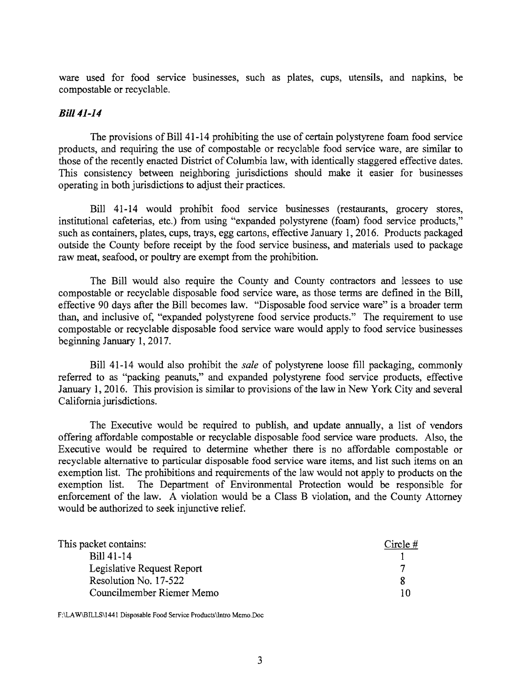ware used for food service businesses, such as plates, cups, utensils, and napkins, be compostable or recyclable.

## *Bill* 41-14

The provisions of Bill 41-14 prohibiting the use of certain polystyrene foam food service products, and requiring the use of compostable or recyclable food service ware, are similar to those of the recently enacted District of Columbia law, with identically staggered effective dates. This consistency between neighboring jurisdictions should make it easier for businesses operating in both jurisdictions to adjust their practices.

Bill 41-14 would prohibit food service businesses (restaurants, grocery stores, institutional cafeterias, etc.) from using "expanded polystyrene (foam) food service products," such as containers, plates, cups, trays, egg cartons, effective January 1,2016. Products packaged outside the County before receipt by the food service business, and materials used to package raw meat, seafood, or poultry are exempt from the prohibition.

The Bill would also require the County and County contractors and lessees to use compostable or recyclable disposable food service ware, as those terms are defined in the Bill, effective 90 days after the Bill becomes law. "Disposable food service ware" is a broader term than, and inclusive of, "expanded polystyrene food service products." The requirement to use compostable or recyclable disposable food service ware would apply to food service businesses beginning January 1,2017.

Bill 41-14 would also prohibit the *sale* of polystyrene loose fill packaging, commonly referred to as "packing peanuts," and expanded polystyrene food service products, effective January 1, 2016. This provision is similar to provisions of the law in New York City and several California jurisdictions.

The Executive would be required to publish, and update annually, a list of vendors offering affordable compostable or recyclable disposable food service ware products. Also, the Executive would be required to determine whether there is no affordable compostable or recyclable alternative to particular disposable food service ware items, and list such items on an exemption list. The prohibitions and requirements of the law would not apply to products on the exemption list. The Department of Environmental Protection would be responsible for enforcement of the law. A violation would be a Class B violation, and the County Attorney would be authorized to seek injunctive relief.

| This packet contains:      | Circle $#$ |
|----------------------------|------------|
| Bill 41-14                 |            |
| Legislative Request Report |            |
| Resolution No. 17-522      |            |
| Councilmember Riemer Memo  |            |

F:\LAW\BILLS\1441 Disposable Food Service Products\lntro Memo.Doc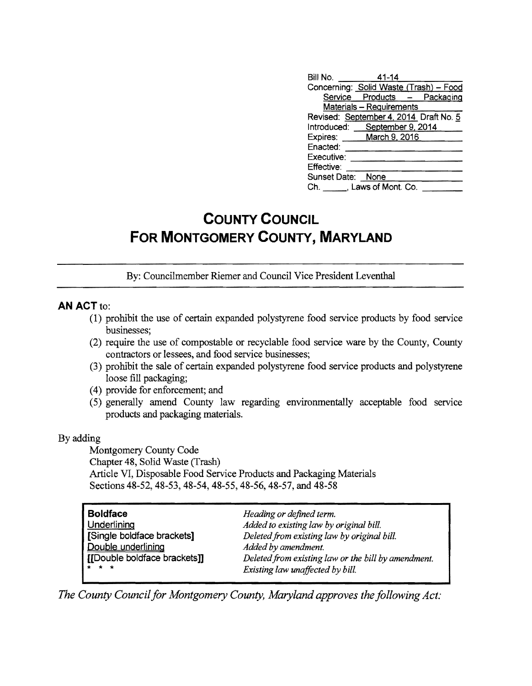| Bill No. 41-14    |                                        |  |
|-------------------|----------------------------------------|--|
|                   | Concerning: Solid Waste (Trash) - Food |  |
|                   | Service Products - Packaging           |  |
|                   | <b>Materials - Requirements</b>        |  |
|                   | Revised: September 4, 2014 Draft No. 5 |  |
|                   | Introduced: September 9, 2014          |  |
|                   | Expires: March 9, 2016                 |  |
| Enacted:          |                                        |  |
| Executive:        |                                        |  |
| Effective:        |                                        |  |
| Sunset Date: None |                                        |  |
|                   | Ch. Laws of Mont. Co.                  |  |

# **COUNTY COUNCIL FOR MONTGOMERY COUNTY, MARYLAND**

By: Councilmember Riemer and Council Vice President Leventhal

## AN ACT to:

- (1) prohibit the use of certain expanded polystyrene food service products by food service businesses;
- (2) require the use of compostable or recyclable food service ware by the County, County contractors or lessees, and food service businesses;
- (3) prohibit the sale of certain expanded polystyrene food service products and polystyrene loose fill packaging;
- (4) provide for enforcement; and
- (5) generally amend County law regarding environmentally acceptable food service products and packaging materials.

## By adding

Montgomery County Code Chapter 48, Solid Waste (Trash) Article VI, Disposable Food Service Products and Packaging Materials Sections 48-52,48-53,48-54,48-55,48-56,48-57, and 48-58

| Heading or defined term.<br>Added to existing law by original bill.<br>Deleted from existing law by original bill.<br>Added by amendment.<br>Deleted from existing law or the bill by amendment.<br>Existing law unaffected by bill. |
|--------------------------------------------------------------------------------------------------------------------------------------------------------------------------------------------------------------------------------------|
|                                                                                                                                                                                                                                      |
|                                                                                                                                                                                                                                      |

*The County Council for Montgomery County, Maryland approves the following Act:*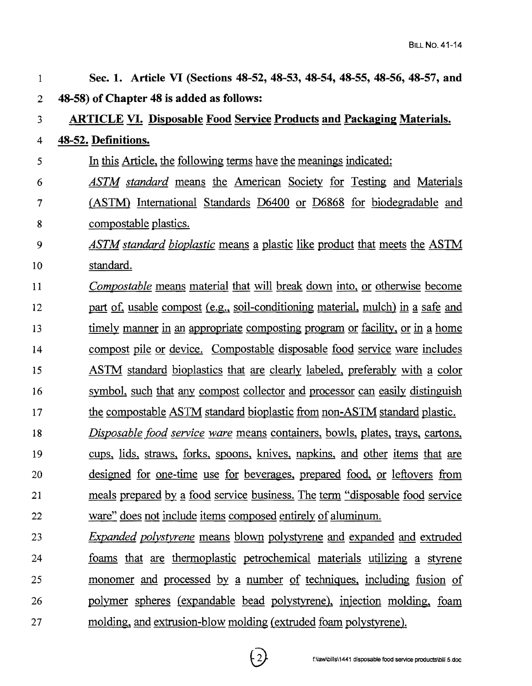| 1              | Sec. 1. Article VI (Sections 48-52, 48-53, 48-54, 48-55, 48-56, 48-57, and       |
|----------------|----------------------------------------------------------------------------------|
| $\overline{c}$ | 48-58) of Chapter 48 is added as follows:                                        |
| 3              | <b>ARTICLE VI. Disposable Food Service Products and Packaging Materials.</b>     |
| 4              | 48-52. Definitions.                                                              |
| 5              | In this Article, the following terms have the meanings indicated:                |
| 6              | <b>ASTM</b> standard means the American Society for Testing and Materials        |
| 7              | (ASTM) International Standards D6400 or D6868 for biodegradable and              |
| 8              | compostable plastics.                                                            |
| 9              | <b>ASTM</b> standard bioplastic means a plastic like product that meets the ASTM |
| 10             | standard.                                                                        |
| 11             | <i>Compostable</i> means material that will break down into, or otherwise become |
| 12             | part of, usable compost (e.g., soil-conditioning material, mulch) in a safe and  |
| 13             | timely manner in an appropriate composting program or facility, or in a home     |
| 14             | compost pile or device. Compostable disposable food service ware includes        |
| 15             | ASTM standard bioplastics that are clearly labeled, preferably with a color      |
| 16             | symbol, such that any compost collector and processor can easily distinguish     |
| 17             | the compostable ASTM standard bioplastic from non-ASTM standard plastic.         |
| 18             | Disposable food service ware means containers, bowls, plates, trays, cartons,    |
| 19             | cups, lids, straws, forks, spoons, knives, napkins, and other items that are     |
| 20             | designed for one-time use for beverages, prepared food, or leftovers from        |
| 21             | meals prepared by a food service business. The term "disposable food service"    |
| 22             | ware" does not include items composed entirely of aluminum.                      |
| 23             | <i>Expanded polystyrene</i> means blown polystyrene and expanded and extruded    |
| 24             | <u>foams</u> that are thermoplastic petrochemical materials utilizing a styrene  |
| 25             | monomer and processed by a number of techniques, including fusion of             |

26 27 polymer spheres (expandable bead polystyrene), injection molding, foam molding, and extrusion-blow molding (extruded foam polystyrene).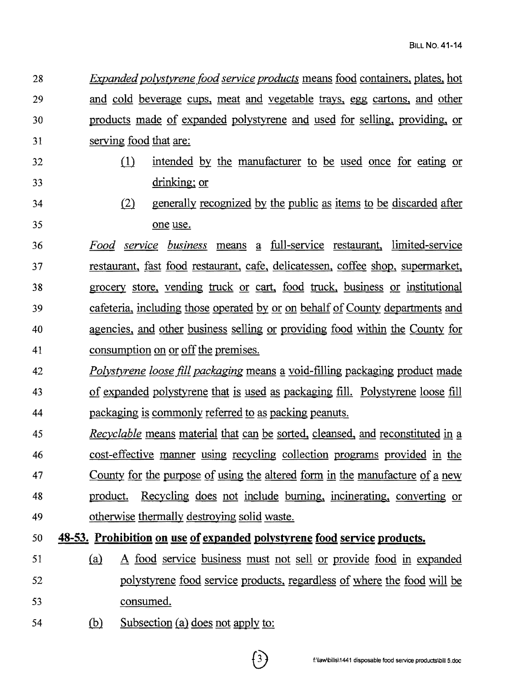28 *Expanded polystyrene food service products* means food containers, plates, hot 29 and cold beverage cups, meat and vegetable trays, egg cartons, and other 30 products made of expanded polystyrene and used for selling, providing, or 31 serving food that are:

- 
- 32 (1) intended by the manufacturer to be used once for eating or 33 drinking; or
- 34 (2) generally recognized by the public as items to be discarded after 35 one use.
- *36 Food service business* means ~ full-service restaurant, limited-service 37 restaurant, fast food restaurant, cafe, delicatessen, coffee shop, supermarket, 38 grocery store, vending truck or cart, food truck, business or institutional 39 cafeteria, including those operated Qy or on behalf of County departments and 40 agencies, and other business selling or providing food within the County for 41 consumption on or off the premises.
- 42 *Polystyrene loose fill packaging* means a void-filling packaging product made 43 of expanded polystyrene that is used as packaging fill. Polystyrene loose fill 44 packaging is commonly referred to as packing peanuts.
- *A5 Recyclable* means material that can be sorted, cleansed, and reconstituted in a 46 cost-effective manner using recycling collection programs provided in the 47 County for the purpose of using the altered form in the manufacture of a new 48 product. Recycling does not include burning, incinerating, converting or 49 otherwise thermally destroying solid waste.
- 50 **48-53. Prohibition on use of expanded polystyrene food service products.**
- 51 (a) A food service business must not sell or provide food in expanded 52 polystyrene food service products, regardless of where the food will be 53 consumed.
- 54 (b) Subsection (a) does not apply to: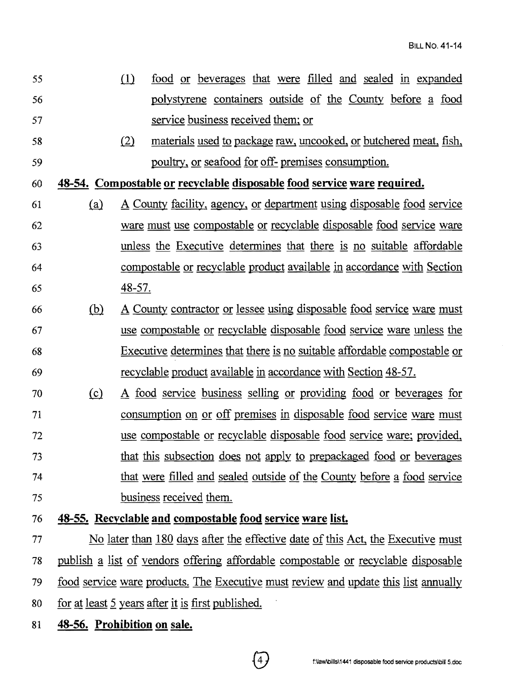- <sup>55</sup>ill food or beverages that were filled and sealed in expanded 56 polystyrene containers outside of the County before a food 57 service business received them; or
- 58 (2) materials used to package raw, uncooked, or butchered meat, fish, 59 poultry, or seafood for off- premises consumption.

60 **48-54. Compostable 2! recyclable disposable food senrice ware required.** 

- 61 W A County facility, agency, or department using disposable food service 62 ware must use compostable or recyclable disposable food service ware 63 unless the Executive determines that there is no suitable affordable 64 compostable or recyclable product available in accordance with Section 65 48-57.
- 66 (b) A County contractor or lessee using disposable food service ware must 67 use compostable or recyclable disposable food service ware unless the 68 Executive determines that there is no suitable affordable compostable or 69 recyclable product available in accordance with Section 48-57.
- <sup>70</sup>W A food service business selling or providing food or beverages for 71 consumption on or off premises in disposable food service ware must 72 use compostable or recyclable disposable food service ware; provided, 73 that this subsection does not apply to prepackaged food or beverages 74 that were filled and sealed outside of the County before a food service 75 business received them.

## 76 **48-55. Recyclable and compostable food service ware list.**

77 No later than 180 days after the effective date of this Act, the Executive must 78 publish a list of vendors offering affordable compostable or recyclable disposable 79 food service ware products. The Executive must review and update this list annually 80 for at least 5 years after it is first published.

81 **48-56. Prohibition on sale.**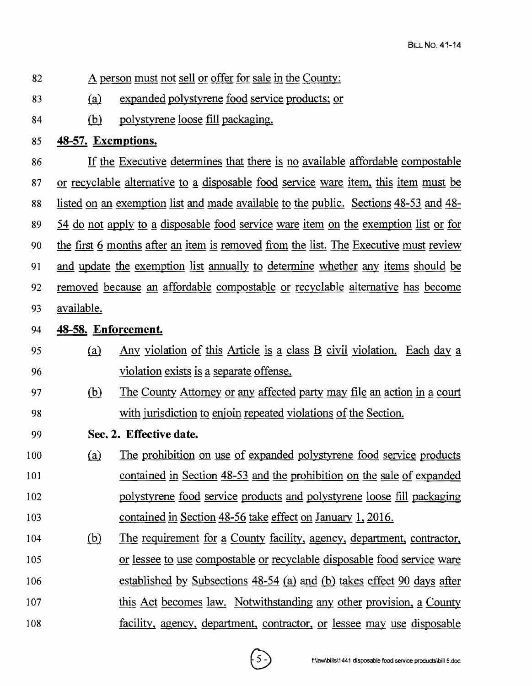- 82 A person must not sell or offer for sale in the County:
- 83 (a) expanded polystyrene food service products; or
- 84 (b) polystyrene loose fill packaging.
- 85 **48-57. Exemptions.**

86 If the Executive determines that there is no available affordable compostable 87 or recyclable alternative to a disposable food service ware item, this item must be 88 listed on an exemption list and made available to the public. Sections 48-53 and 48 89 54 do not apply to g disposable food service ware item on the exemption list or for 90 the first 6 months after an item is removed from the list. The Executive must review 91 and update the exemption list annually to determine whether any items should be 92 removed because an affordable compostable or recyclable alternative has become 93 available.

- 94 **48-58. Enforcement.**
- 95 W Any violation of this Article is g class B civil violation. Each day g 96 violation exists is a separate offense.
- 97 (b) The County Attorney or any affected party may file an action in a court 98 with jurisdiction to enjoin repeated violations of the Section.
- 99 **Sec. 2. Effective date.**
- 100 (a) The prohibition on use of expanded polystyrene food service products 101 contained in Section 48-53 and the prohibition on the sale of expanded 102 polystyrene food service products and polystyrene loose fill packaging 103 contained in Section 48-56 take effect on January 1, 2016.
- 104 (b) The requirement for a County facility, agency, department, contractor, 105 or lessee to use compostable or recyclable disposable food service ware 106 established by Subsections 48-54 (a) and (b) takes effect 90 days after 107 this Act becomes law. Notwithstanding any other provision, a County 108 facility, agency, department, contractor, or lessee may use disposable

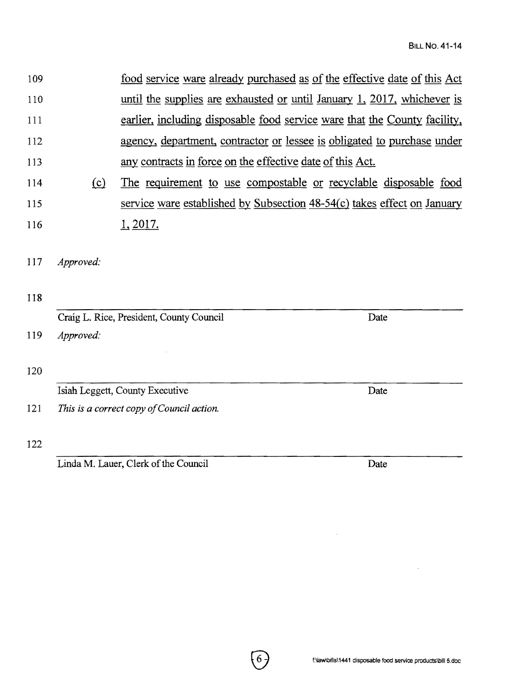| 109 | food service ware already purchased as of the effective date of this Act  |
|-----|---------------------------------------------------------------------------|
| 110 | until the supplies are exhausted or until January 1, 2017, whichever is   |
| 111 | earlier, including disposable food service ware that the County facility, |
| 112 | agency, department, contractor or lessee is obligated to purchase under   |
| 113 | any contracts in force on the effective date of this Act.                 |

- 114 (c) The requirement to use compostable or recyclable disposable food 115 service ware established by Subsection 48-54(c) takes effect on January 116 1, 2017.
- 117 *Approved:*
- 118

| Craig L. Rice, President, County Council  | Date |  |
|-------------------------------------------|------|--|
| Approved:                                 |      |  |
|                                           |      |  |
|                                           |      |  |
| Isiah Leggett, County Executive           | Date |  |
| This is a correct copy of Council action. |      |  |
|                                           |      |  |
|                                           |      |  |
|                                           |      |  |

Linda M. Lauer, Clerk of the Council Date

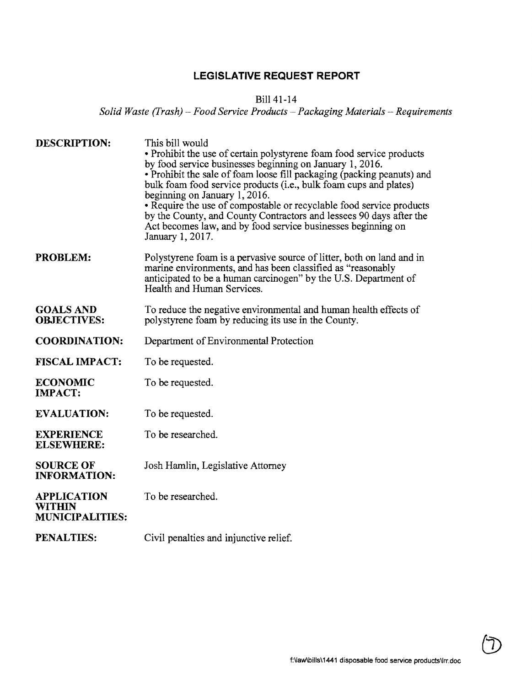## **LEGISLATIVE REQUEST REPORT**

## Bill 41-14

*Solid Waste (Frash)* - *Food Service Products* - *Packaging Materials* - *Requirements* 

| <b>DESCRIPTION:</b>                                           | This bill would<br>• Prohibit the use of certain polystyrene foam food service products<br>by food service businesses beginning on January 1, 2016.<br>• Prohibit the sale of foam loose fill packaging (packing peanuts) and<br>bulk foam food service products (i.e., bulk foam cups and plates)<br>beginning on January 1, 2016.<br>• Require the use of compostable or recyclable food service products<br>by the County, and County Contractors and lessees 90 days after the<br>Act becomes law, and by food service businesses beginning on<br>January 1, 2017. |
|---------------------------------------------------------------|------------------------------------------------------------------------------------------------------------------------------------------------------------------------------------------------------------------------------------------------------------------------------------------------------------------------------------------------------------------------------------------------------------------------------------------------------------------------------------------------------------------------------------------------------------------------|
| <b>PROBLEM:</b>                                               | Polystyrene foam is a pervasive source of litter, both on land and in<br>marine environments, and has been classified as "reasonably<br>anticipated to be a human carcinogen" by the U.S. Department of<br>Health and Human Services.                                                                                                                                                                                                                                                                                                                                  |
| <b>GOALS AND</b><br><b>OBJECTIVES:</b>                        | To reduce the negative environmental and human health effects of<br>polystyrene foam by reducing its use in the County.                                                                                                                                                                                                                                                                                                                                                                                                                                                |
| <b>COORDINATION:</b>                                          | Department of Environmental Protection                                                                                                                                                                                                                                                                                                                                                                                                                                                                                                                                 |
| <b>FISCAL IMPACT:</b>                                         | To be requested.                                                                                                                                                                                                                                                                                                                                                                                                                                                                                                                                                       |
| <b>ECONOMIC</b><br><b>IMPACT:</b>                             | To be requested.                                                                                                                                                                                                                                                                                                                                                                                                                                                                                                                                                       |
| <b>EVALUATION:</b>                                            | To be requested.                                                                                                                                                                                                                                                                                                                                                                                                                                                                                                                                                       |
| <b>EXPERIENCE</b><br><b>ELSEWHERE:</b>                        | To be researched.                                                                                                                                                                                                                                                                                                                                                                                                                                                                                                                                                      |
| <b>SOURCE OF</b><br><b>INFORMATION:</b>                       | Josh Hamlin, Legislative Attorney                                                                                                                                                                                                                                                                                                                                                                                                                                                                                                                                      |
| <b>APPLICATION</b><br><b>WITHIN</b><br><b>MUNICIPALITIES:</b> | To be researched.                                                                                                                                                                                                                                                                                                                                                                                                                                                                                                                                                      |
| <b>PENALTIES:</b>                                             | Civil penalties and injunctive relief.                                                                                                                                                                                                                                                                                                                                                                                                                                                                                                                                 |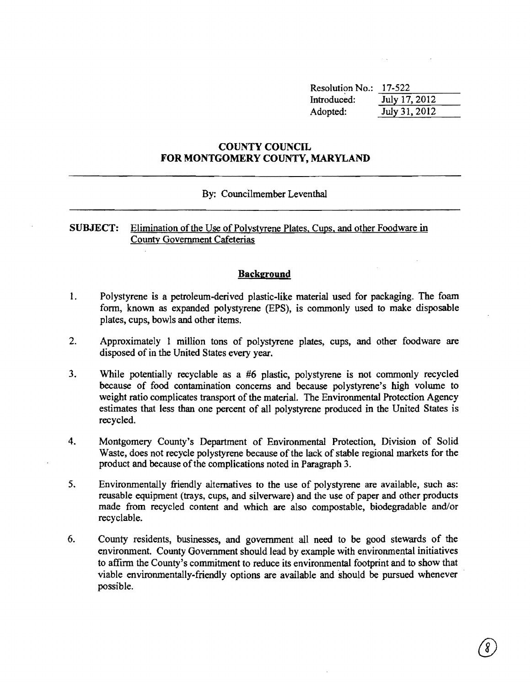| <b>Resolution No.:</b> | 17-522        |
|------------------------|---------------|
| Introduced:            | July 17, 2012 |
| Adopted:               | July 31, 2012 |

## COUNTY COUNCIL FOR MONTGOMERY COUNTY, MARYLAND

## By: Councilmember Leventhal

## SUBJECT: Elimination of the Use of Polystyrene Plates, Cups, and other Foodware in County Government Cafeterias

## Background

- 1. Polystyrene is a petroleum-derived plastic-like material used for packaging. The foam fonn, known as expanded polystyrene (EPS), is commonly used to make disposable plates, cups, bowls and other items.
- 2. Approximately 1 million tons of polystyrene plates, cups, and other foodware are disposed of in the United States every year.
- 3. While potentially recyclable as a #6 plastic, polystyrene is not commonly recycled because of food contamination concerns and because polystyrene's high volume to weight ratio complicates transport of the material. The Environmental Protection Agency estimates that less than one percent of all polystyrene produced in the United States is recycled.
- 4. Montgomery County's Department of Environmental Protection, Division of Solid Waste, does not recycle polystyrene because of the lack of stable regional markets for the product and because of the complications noted in Paragraph 3.
- 5. Environmentally friendly alternatives to the use of polystyrene are available, such as: reusable equipment (trays, cups, and silverware) and the use of paper and other products made from recycled content and which are also compostable, biodegradable and/or recyclable.
- 6. County residents, businesses, and government all need to be good stewards of the environment. County Government should lead by example with environmental initiatives to affinn the County's commitment to reduce its environmental footprint and to show that viable environmentally-friendly options are available and should be pursued whenever possible.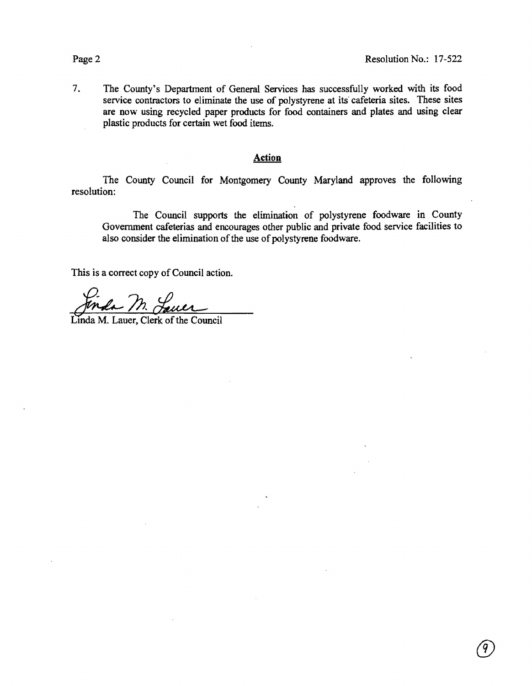*(j)* 

7. The County's Department of General Services has successfully worked with its food service contractors to eliminate the use of polystyrene at its cafeteria sites. These sites are now using recycled paper products for food containers and plates and using clear plastic products for certain wet food items.

## **Action**

The County Council for Montgomery County Maryland approves the following resolution:

The Council supports the elimination of polystyrene foodware in County Government cafeterias and encourages other public and private food service facilities to also consider the elimination of the use of polystyrene foodware.

This is a correct copy of Council action.

Linda M. Lauer, Clerk of the Council